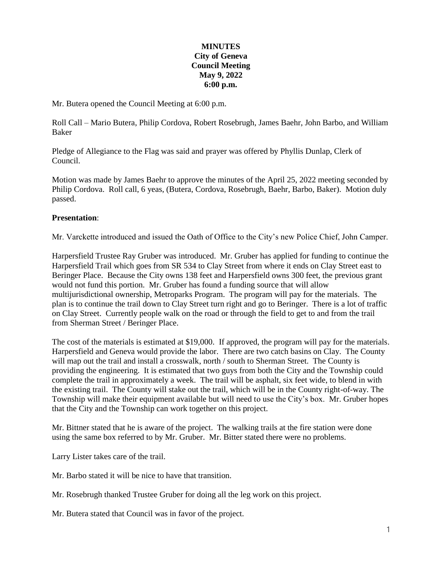# **MINUTES City of Geneva Council Meeting May 9, 2022 6:00 p.m.**

Mr. Butera opened the Council Meeting at 6:00 p.m.

Roll Call – Mario Butera, Philip Cordova, Robert Rosebrugh, James Baehr, John Barbo, and William Baker

Pledge of Allegiance to the Flag was said and prayer was offered by Phyllis Dunlap, Clerk of Council.

Motion was made by James Baehr to approve the minutes of the April 25, 2022 meeting seconded by Philip Cordova. Roll call, 6 yeas, (Butera, Cordova, Rosebrugh, Baehr, Barbo, Baker). Motion duly passed.

## **Presentation**:

Mr. Varckette introduced and issued the Oath of Office to the City's new Police Chief, John Camper.

Harpersfield Trustee Ray Gruber was introduced. Mr. Gruber has applied for funding to continue the Harpersfield Trail which goes from SR 534 to Clay Street from where it ends on Clay Street east to Beringer Place. Because the City owns 138 feet and Harpersfield owns 300 feet, the previous grant would not fund this portion. Mr. Gruber has found a funding source that will allow multijurisdictional ownership, Metroparks Program. The program will pay for the materials. The plan is to continue the trail down to Clay Street turn right and go to Beringer. There is a lot of traffic on Clay Street. Currently people walk on the road or through the field to get to and from the trail from Sherman Street / Beringer Place.

The cost of the materials is estimated at \$19,000. If approved, the program will pay for the materials. Harpersfield and Geneva would provide the labor. There are two catch basins on Clay. The County will map out the trail and install a crosswalk, north / south to Sherman Street. The County is providing the engineering. It is estimated that two guys from both the City and the Township could complete the trail in approximately a week. The trail will be asphalt, six feet wide, to blend in with the existing trail. The County will stake out the trail, which will be in the County right-of-way. The Township will make their equipment available but will need to use the City's box. Mr. Gruber hopes that the City and the Township can work together on this project.

Mr. Bittner stated that he is aware of the project. The walking trails at the fire station were done using the same box referred to by Mr. Gruber. Mr. Bitter stated there were no problems.

Larry Lister takes care of the trail.

Mr. Barbo stated it will be nice to have that transition.

Mr. Rosebrugh thanked Trustee Gruber for doing all the leg work on this project.

Mr. Butera stated that Council was in favor of the project.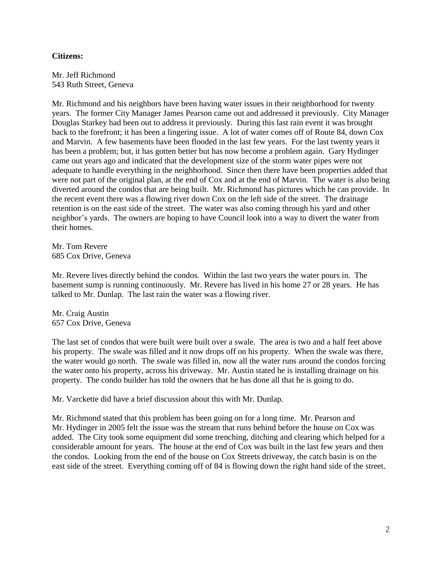### **Citizens:**

Mr. Jeff Richmond 543 Ruth Street, Geneva

Mr. Richmond and his neighbors have been having water issues in their neighborhood for twenty years. The former City Manager James Pearson came out and addressed it previously. City Manager Douglas Starkey had been out to address it previously. During this last rain event it was brought back to the forefront; it has been a lingering issue. A lot of water comes off of Route 84, down Cox and Marvin. A few basements have been flooded in the last few years. For the last twenty years it has been a problem; but, it has gotten better but has now become a problem again. Gary Hydinger came out years ago and indicated that the development size of the storm water pipes were not adequate to handle everything in the neighborhood. Since then there have been properties added that were not part of the original plan, at the end of Cox and at the end of Marvin. The water is also being diverted around the condos that are being built. Mr. Richmond has pictures which he can provide. In the recent event there was a flowing river down Cox on the left side of the street. The drainage retention is on the east side of the street. The water was also coming through his yard and other neighbor's yards. The owners are hoping to have Council look into a way to divert the water from their homes.

Mr. Tom Revere 685 Cox Drive, Geneva

Mr. Revere lives directly behind the condos. Within the last two years the water pours in. The basement sump is running continuously. Mr. Revere has lived in his home 27 or 28 years. He has talked to Mr. Dunlap. The last rain the water was a flowing river.

Mr. Craig Austin 657 Cox Drive, Geneva

The last set of condos that were built were built over a swale. The area is two and a half feet above his property. The swale was filled and it now drops off on his property. When the swale was there, the water would go north. The swale was filled in, now all the water runs around the condos forcing the water onto his property, across his driveway. Mr. Austin stated he is installing drainage on his property. The condo builder has told the owners that he has done all that he is going to do.

Mr. Varckette did have a brief discussion about this with Mr. Dunlap.

Mr. Richmond stated that this problem has been going on for a long time. Mr. Pearson and Mr. Hydinger in 2005 felt the issue was the stream that runs behind before the house on Cox was added. The City took some equipment did some trenching, ditching and clearing which helped for a considerable amount for years. The house at the end of Cox was built in the last few years and then the condos. Looking from the end of the house on Cox Streets driveway, the catch basin is on the east side of the street. Everything coming off of 84 is flowing down the right hand side of the street.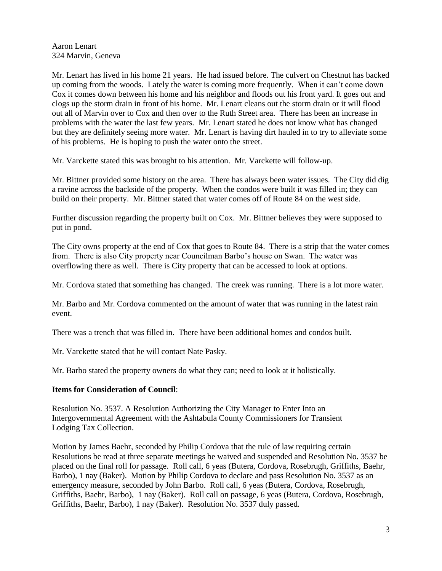Mr. Lenart has lived in his home 21 years. He had issued before. The culvert on Chestnut has backed up coming from the woods. Lately the water is coming more frequently. When it can't come down Cox it comes down between his home and his neighbor and floods out his front yard. It goes out and clogs up the storm drain in front of his home. Mr. Lenart cleans out the storm drain or it will flood out all of Marvin over to Cox and then over to the Ruth Street area. There has been an increase in problems with the water the last few years. Mr. Lenart stated he does not know what has changed but they are definitely seeing more water. Mr. Lenart is having dirt hauled in to try to alleviate some of his problems. He is hoping to push the water onto the street.

Mr. Varckette stated this was brought to his attention. Mr. Varckette will follow-up.

Mr. Bittner provided some history on the area. There has always been water issues. The City did dig a ravine across the backside of the property. When the condos were built it was filled in; they can build on their property. Mr. Bittner stated that water comes off of Route 84 on the west side.

Further discussion regarding the property built on Cox. Mr. Bittner believes they were supposed to put in pond.

The City owns property at the end of Cox that goes to Route 84. There is a strip that the water comes from. There is also City property near Councilman Barbo's house on Swan. The water was overflowing there as well. There is City property that can be accessed to look at options.

Mr. Cordova stated that something has changed. The creek was running. There is a lot more water.

Mr. Barbo and Mr. Cordova commented on the amount of water that was running in the latest rain event.

There was a trench that was filled in. There have been additional homes and condos built.

Mr. Varckette stated that he will contact Nate Pasky.

Mr. Barbo stated the property owners do what they can; need to look at it holistically.

#### **Items for Consideration of Council**:

Resolution No. 3537. A Resolution Authorizing the City Manager to Enter Into an Intergovernmental Agreement with the Ashtabula County Commissioners for Transient Lodging Tax Collection.

Motion by James Baehr, seconded by Philip Cordova that the rule of law requiring certain Resolutions be read at three separate meetings be waived and suspended and Resolution No. 3537 be placed on the final roll for passage. Roll call, 6 yeas (Butera, Cordova, Rosebrugh, Griffiths, Baehr, Barbo), 1 nay (Baker). Motion by Philip Cordova to declare and pass Resolution No. 3537 as an emergency measure, seconded by John Barbo. Roll call, 6 yeas (Butera, Cordova, Rosebrugh, Griffiths, Baehr, Barbo), 1 nay (Baker). Roll call on passage, 6 yeas (Butera, Cordova, Rosebrugh, Griffiths, Baehr, Barbo), 1 nay (Baker). Resolution No. 3537 duly passed.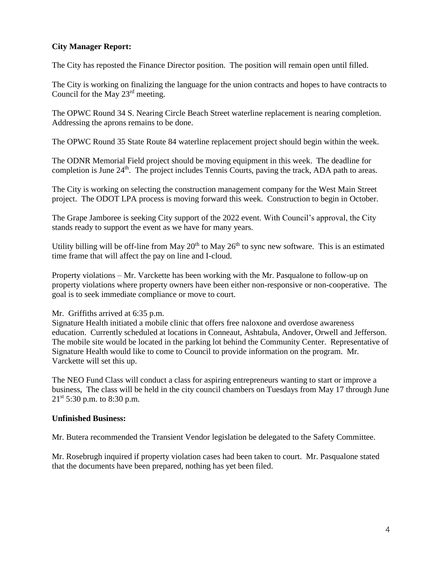# **City Manager Report:**

The City has reposted the Finance Director position. The position will remain open until filled.

The City is working on finalizing the language for the union contracts and hopes to have contracts to Council for the May 23rd meeting.

The OPWC Round 34 S. Nearing Circle Beach Street waterline replacement is nearing completion. Addressing the aprons remains to be done.

The OPWC Round 35 State Route 84 waterline replacement project should begin within the week.

The ODNR Memorial Field project should be moving equipment in this week. The deadline for completion is June  $24<sup>th</sup>$ . The project includes Tennis Courts, paving the track, ADA path to areas.

The City is working on selecting the construction management company for the West Main Street project. The ODOT LPA process is moving forward this week. Construction to begin in October.

The Grape Jamboree is seeking City support of the 2022 event. With Council's approval, the City stands ready to support the event as we have for many years.

Utility billing will be off-line from May  $20<sup>th</sup>$  to May  $26<sup>th</sup>$  to sync new software. This is an estimated time frame that will affect the pay on line and I-cloud.

Property violations – Mr. Varckette has been working with the Mr. Pasqualone to follow-up on property violations where property owners have been either non-responsive or non-cooperative. The goal is to seek immediate compliance or move to court.

## Mr. Griffiths arrived at 6:35 p.m.

Signature Health initiated a mobile clinic that offers free naloxone and overdose awareness education. Currently scheduled at locations in Conneaut, Ashtabula, Andover, Orwell and Jefferson. The mobile site would be located in the parking lot behind the Community Center. Representative of Signature Health would like to come to Council to provide information on the program. Mr. Varckette will set this up.

The NEO Fund Class will conduct a class for aspiring entrepreneurs wanting to start or improve a business, The class will be held in the city council chambers on Tuesdays from May 17 through June  $21^{st}$  5:30 p.m. to 8:30 p.m.

#### **Unfinished Business:**

Mr. Butera recommended the Transient Vendor legislation be delegated to the Safety Committee.

Mr. Rosebrugh inquired if property violation cases had been taken to court. Mr. Pasqualone stated that the documents have been prepared, nothing has yet been filed.